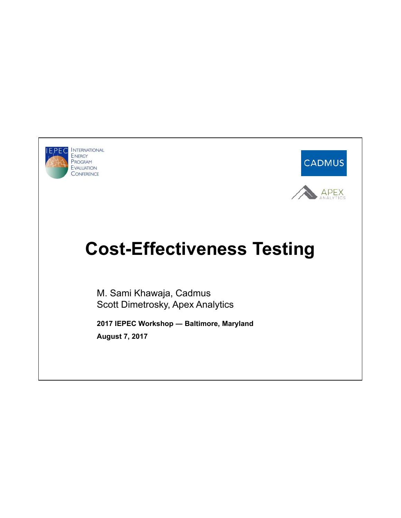

**EPEC** INTERNATIONAL ENERGY PROGRAM EVALUATION CONFERENCE



## **Cost-Effectiveness Testing**

M. Sami Khawaja, Cadmus Scott Dimetrosky, Apex Analytics

**2017 IEPEC Workshop ― Baltimore, Maryland August 7, 2017**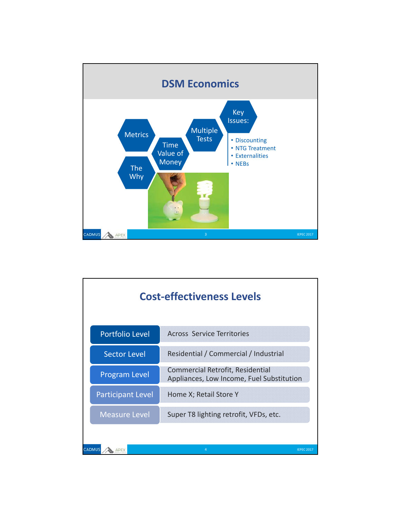

|                          | <b>Cost-effectiveness Levels</b>                                              |
|--------------------------|-------------------------------------------------------------------------------|
| <b>Portfolio Level</b>   | <b>Across Service Territories</b>                                             |
| <b>Sector Level</b>      | Residential / Commercial / Industrial                                         |
| <b>Program Level</b>     | Commercial Retrofit, Residential<br>Appliances, Low Income, Fuel Substitution |
| <b>Participant Level</b> | Home X; Retail Store Y                                                        |
| <b>Measure Level</b>     | Super T8 lighting retrofit, VFDs, etc.                                        |
|                          | 4                                                                             |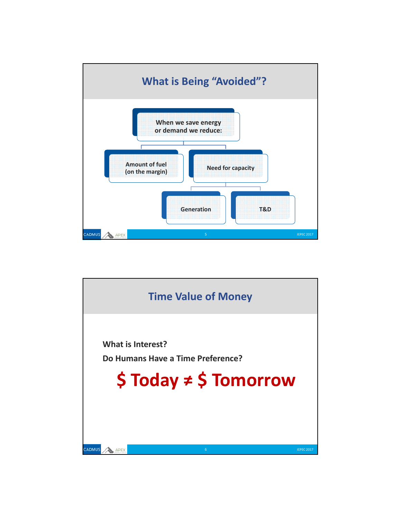

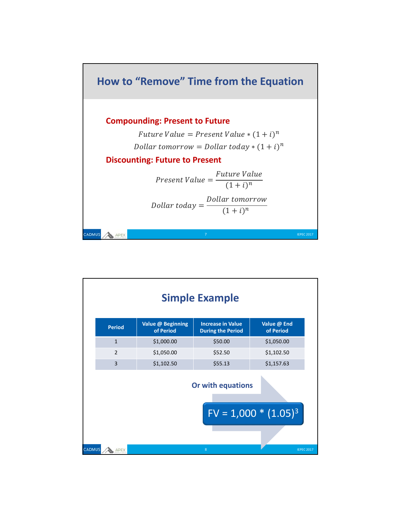

|                      |                                | <b>Simple Example</b>                                |                          |
|----------------------|--------------------------------|------------------------------------------------------|--------------------------|
| <b>Period</b>        | Value @ Beginning<br>of Period | <b>Increase in Value</b><br><b>During the Period</b> | Value @ End<br>of Period |
| $\mathbf{1}$         | \$1,000.00                     | \$50.00                                              | \$1,050.00               |
| $\overline{2}$       | \$1,050.00                     | \$52.50                                              | \$1,102.50               |
| $\overline{3}$       | \$1,102.50                     | \$55.13                                              | \$1,157.63               |
|                      |                                | Or with equations                                    |                          |
|                      |                                |                                                      | $FV = 1,000 * (1.05)^3$  |
| <b>CADMUS</b><br>PEX |                                | $\overline{8}$                                       | <b>IEPEC 2017</b>        |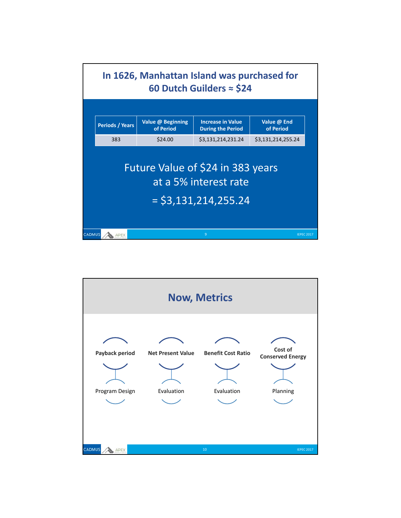

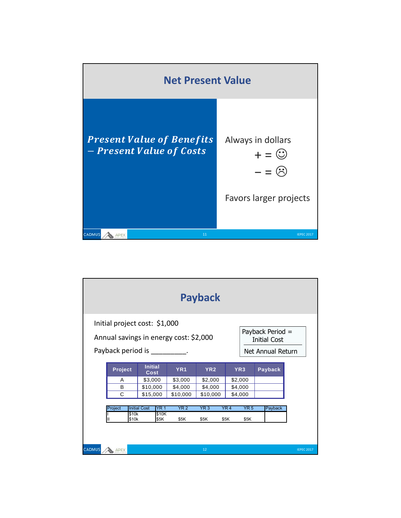

|               |                                                                                                                                                                     |                                    |                 | <b>Payback</b>  |                 |         |                   |  |
|---------------|---------------------------------------------------------------------------------------------------------------------------------------------------------------------|------------------------------------|-----------------|-----------------|-----------------|---------|-------------------|--|
|               | Initial project cost: \$1,000<br>Payback Period =<br>Annual savings in energy cost: \$2,000<br><b>Initial Cost</b><br>Payback period is<br><b>Net Annual Return</b> |                                    |                 |                 |                 |         |                   |  |
|               | Project                                                                                                                                                             | Initial<br>Cost                    | YR <sub>1</sub> | YR <sub>2</sub> | YR <sub>3</sub> | Payback |                   |  |
|               | A                                                                                                                                                                   | \$3,000                            | \$3,000         | \$2,000         | \$2,000         |         |                   |  |
|               | B                                                                                                                                                                   | \$10,000                           | \$4,000         | \$4,000         | \$4,000         |         |                   |  |
|               | $\mathcal{C}$                                                                                                                                                       | \$15,000                           | \$10,000        | \$10,000        | \$4,000         |         |                   |  |
|               |                                                                                                                                                                     |                                    |                 |                 |                 |         |                   |  |
|               | Project                                                                                                                                                             | <b>YR 1</b><br><b>Initial Cost</b> | YR <sub>2</sub> | YR3             | YR4<br>YR5      | Payback |                   |  |
|               | \$10k<br>\$10k                                                                                                                                                      | \$10K<br>\$5K                      | \$5K            | \$5K            | \$5K<br>\$5K    |         |                   |  |
| <b>CADMUS</b> | APEX                                                                                                                                                                |                                    |                 | 12              |                 |         | <b>IEPEC 2017</b> |  |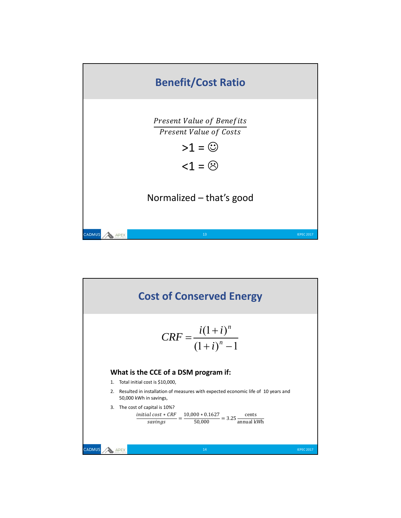

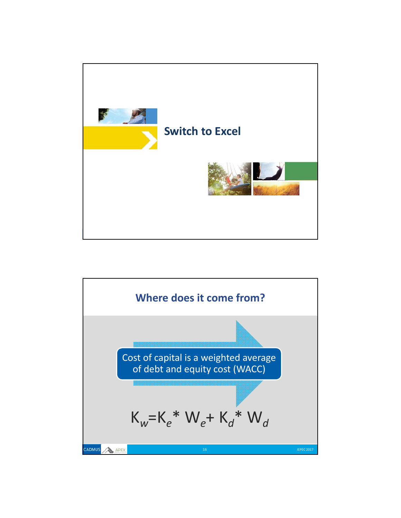

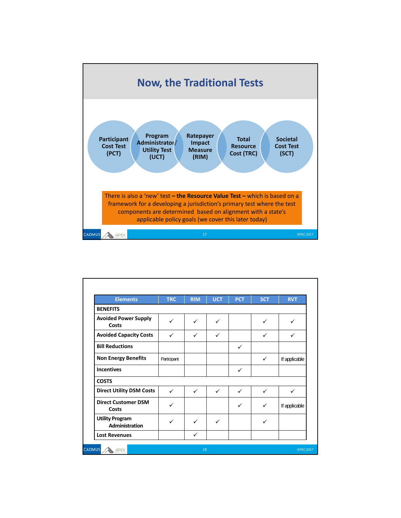

| <b>Elements</b>                                 | <b>TRC</b>   | <b>RIM</b> | <b>UCT</b>   | <b>PCT</b> | <b>SCT</b>   | <b>RVT</b>    |
|-------------------------------------------------|--------------|------------|--------------|------------|--------------|---------------|
| <b>BENEFITS</b>                                 |              |            |              |            |              |               |
| <b>Avoided Power Supply</b><br>Costs            | ✓            | ✓          | ✓            |            | $\checkmark$ | ✓             |
| <b>Avoided Capacity Costs</b>                   | $\checkmark$ | ✓          | ✓            |            | $\checkmark$ | ✓             |
| <b>Bill Reductions</b>                          |              |            |              | ✓          |              |               |
| <b>Non Energy Benefits</b>                      | Participant  |            |              |            | $\checkmark$ | If applicable |
| <b>Incentives</b>                               |              |            |              | ✓          |              |               |
| <b>COSTS</b>                                    |              |            |              |            |              |               |
| <b>Direct Utility DSM Costs</b>                 | ✓            | ✓          | $\checkmark$ | ✓          | ✓            | $\checkmark$  |
| <b>Direct Customer DSM</b><br>Costs             | ✓            |            |              | ✓          | ✓            | If applicable |
| <b>Utility Program</b><br><b>Administration</b> | ✓            | ✓          | ✓            |            | ✓            |               |
| <b>Lost Revenues</b>                            |              | ✓          |              |            |              |               |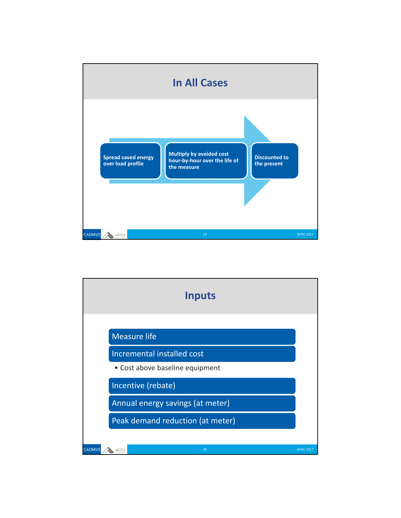

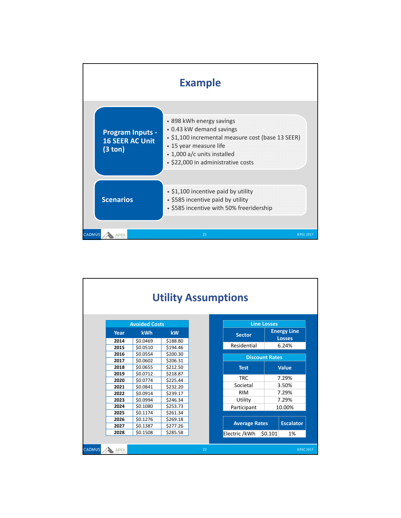

|               |              |                      |                      | <b>Utility Assumptions</b> |                       |                    |                                     |
|---------------|--------------|----------------------|----------------------|----------------------------|-----------------------|--------------------|-------------------------------------|
|               |              | <b>Avoided Costs</b> |                      |                            |                       | <b>Line Losses</b> |                                     |
|               | Year         | <b>kWh</b>           | <b>kW</b>            |                            | <b>Sector</b>         |                    | <b>Energy Line</b><br><b>Losses</b> |
|               | 2014<br>2015 | \$0.0469<br>\$0.0510 | \$188.80<br>\$194.46 |                            | Residential           |                    | 6.24%                               |
|               | 2016         | \$0.0554             | \$200.30             |                            | <b>Discount Rates</b> |                    |                                     |
|               | 2017<br>2018 | \$0.0602<br>\$0.0655 | \$206.31<br>\$212.50 |                            | <b>Test</b>           |                    | <b>Value</b>                        |
|               | 2019<br>2020 | \$0.0712<br>\$0.0774 | \$218.87<br>\$225.44 |                            | <b>TRC</b>            |                    | 7.29%                               |
|               | 2021         | \$0.0841             | \$232.20             |                            | Societal              |                    | 3.50%                               |
|               | 2022         | \$0.0914             | \$239.17             |                            | <b>RIM</b>            |                    | 7.29%                               |
|               | 2023         | \$0.0994             | \$246.34             |                            | Utility               |                    | 7.29%                               |
|               | 2024         | \$0.1080             | \$253.73             |                            | Participant           |                    | 10.00%                              |
|               | 2025         | \$0.1174             | \$261.34             |                            |                       |                    |                                     |
|               | 2026         | \$0.1276             | \$269.18             |                            | <b>Average Rates</b>  |                    | <b>Escalator</b>                    |
|               | 2027         | \$0.1387             | \$277.26             |                            |                       |                    |                                     |
|               | 2028         | \$0.1508             | \$285.58             |                            | Electric /kWh         | \$0.101            | 1%                                  |
| <b>CADMUS</b> | APEX         |                      |                      | 22                         |                       |                    | <b>IEPEC 2017</b>                   |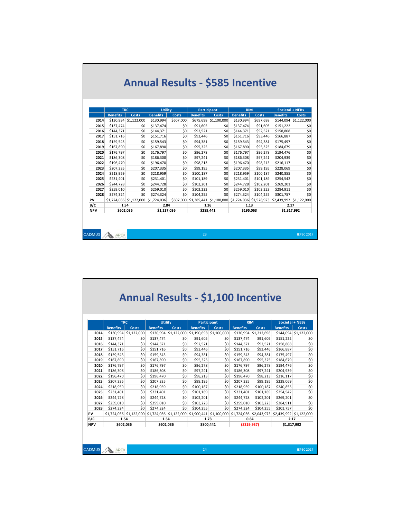|            | <b>TRC</b>               |                         | <b>Utility</b>  |           |                 | <b>Participant</b>                              |                          | <b>RIM</b>   |                         | Societal + NEBs       |
|------------|--------------------------|-------------------------|-----------------|-----------|-----------------|-------------------------------------------------|--------------------------|--------------|-------------------------|-----------------------|
|            | <b>Benefits</b>          | Costs                   | <b>Benefits</b> | Costs     | <b>Benefits</b> | <b>Costs</b>                                    | <b>Benefits</b>          | <b>Costs</b> | <b>Benefits</b>         | <b>Costs</b>          |
| 2014       |                          | \$130,994 \$1,122,000   | \$130,994       | \$607.000 |                 | \$675,698 \$1,100,000                           | \$130,994                | \$697.698    |                         | \$144,094 \$1,122,000 |
| 2015       | \$137,474                | \$0                     | \$137,474       | \$0       | \$91,605        | \$0                                             | \$137,474                | \$91,605     | \$151,222               | \$0                   |
| 2016       | \$144,371                | \$0                     | \$144,371       | \$0       | \$92,521        | \$0                                             | \$144,371                | \$92,521     | \$158,808               | \$0                   |
| 2017       | \$151,716                | \$0                     | \$151,716       | \$0       | \$93,446        | 50                                              | \$151,716                | \$93,446     | \$166,887               | \$0                   |
| 2018       | \$159,543                | \$0                     | \$159,543       | \$0       | \$94,381        | 50                                              | \$159,543                | \$94,381     | \$175,497               | \$0                   |
| 2019       | \$167,890                | \$0                     | \$167,890       | \$0       | \$95,325        | \$0                                             | \$167,890                | \$95,325     | \$184,679               | \$0                   |
| 2020       | \$176,797                | \$0                     | \$176,797       | \$0       | \$96,278        | \$0                                             | \$176,797                | \$96,278     | \$194,476               | \$0                   |
| 2021       | \$186,308                | \$0                     | \$186,308       | \$0       | \$97,241        | 50 <sup>°</sup>                                 | \$186,308                | \$97,241     | \$204,939               | \$0                   |
| 2022       | \$196,470                | \$0                     | \$196,470       | \$0       | \$98,213        | \$0                                             | \$196,470                | \$98,213     | \$216,117               | \$0                   |
| 2023       | \$207,335                | \$0                     | \$207,335       | \$0       | \$99,195        | \$0                                             | \$207,335                | \$99,195     | \$228,069               | \$0                   |
| 2024       | \$218,959                | \$0                     | \$218.959       | \$0       | \$100,187       | \$0                                             | \$218.959                | \$100,187    | \$240,855               | \$0                   |
| 2025       | \$231.401                | \$0                     | \$231.401       | \$0       | \$101.189       | 50                                              | \$231.401                | \$101.189    | \$254,542               | \$0                   |
| 2026       | \$244,728                | \$0                     | \$244,728       | \$0       | \$102,201       | \$0                                             | \$244,728                | \$102,201    | \$269,201               | \$0                   |
| 2027       | \$259,010                | \$0                     | \$259,010       | \$0       | \$103,223       | \$0                                             | \$259,010                | \$103,223    | \$284,911               | \$0                   |
| 2028       | \$274,324                | \$0                     | \$274,324       | \$0       | \$104,255       | 50                                              | \$274,324                | \$104,255    | \$301,757               | \$0                   |
| PV         |                          | \$1.724.036 \$1.122.000 | \$1,724,036     | \$607,000 |                 | \$1,385,441 \$1,100,000 \$1,724,036 \$1,528,973 |                          |              | \$2,439,992 \$1,122,000 |                       |
| B/C        | 1.54                     |                         | 2.84            |           | 1.26            |                                                 | 1.13                     |              | 2.17                    |                       |
| <b>NPV</b> | \$602,036<br>\$1,117,036 |                         |                 | \$285,441 |                 |                                                 | \$195,063<br>\$1,317,992 |              |                         |                       |

|               |                        |                         |                 |                         |                    |                           | <b>Annual Results - \$1,100 Incentive</b> |                       |                         |                       |
|---------------|------------------------|-------------------------|-----------------|-------------------------|--------------------|---------------------------|-------------------------------------------|-----------------------|-------------------------|-----------------------|
|               |                        |                         |                 |                         |                    |                           |                                           |                       |                         |                       |
|               | <b>TRC</b>             |                         | <b>Utility</b>  |                         | <b>Participant</b> |                           | <b>RIM</b>                                |                       | Societal + NEBs         |                       |
|               | <b>Benefits</b>        | <b>Costs</b>            | <b>Benefits</b> | <b>Costs</b>            | <b>Benefits</b>    | <b>Costs</b>              | <b>Benefits</b>                           | <b>Costs</b>          | <b>Benefits</b>         | Costs                 |
| 2014          |                        | \$130,994 \$1,122,000   | \$130,994       | \$1,122,000             | \$1,190,698        | \$1,100,000               |                                           | \$130,994 \$1,212,698 |                         | \$144,094 \$1,122,000 |
| 2015          | \$137,474              | \$0                     | \$137,474       | \$0                     | \$91,605           | \$0                       | \$137,474                                 | \$91,605              | \$151,222               | \$0                   |
| 2016          | \$144,371              | \$0                     | \$144,371       | \$0                     | \$92,521           | \$0                       | \$144,371                                 | \$92,521              | \$158,808               | \$0                   |
| 2017          | \$151,716              | \$0                     | \$151,716       | \$0                     | \$93,446           | \$0                       | \$151,716                                 | \$93,446              | \$166,887               | \$0                   |
| 2018          | \$159,543              | \$O                     | \$159,543       | \$0                     | \$94,381           | \$0                       | \$159,543                                 | \$94,381              | \$175,497               | \$0                   |
| 2019          | \$167,890              | \$0                     | \$167,890       | \$0                     | \$95,325           | \$0                       | \$167,890                                 | \$95,325              | \$184,679               | \$0                   |
| 2020          | \$176,797              | \$O                     | \$176,797       | \$0                     | \$96,278           | \$0                       | \$176,797                                 | \$96,278              | \$194,476               | \$0                   |
| 2021          | \$186,308              | \$O                     | \$186,308       | \$0                     | \$97,241           | \$0                       | \$186,308                                 | \$97,241              | \$204,939               | \$0                   |
| 2022          | \$196,470              | \$0                     | \$196,470       | \$0                     | \$98,213           | \$0                       | \$196,470                                 | \$98,213              | \$216,117               | \$0                   |
| 2023          | \$207,335              | \$0                     | \$207,335       | \$0                     | \$99,195           | \$0                       | \$207.335                                 | \$99,195              | \$228,069               | \$0                   |
| 2024          | \$218,959              | \$0                     | \$218,959       | \$0                     | \$100,187          | \$0                       | \$218,959                                 | \$100,187             | \$240,855               | \$0                   |
| 2025          | \$231.401              | \$0                     | \$231,401       | \$0                     | \$101,189          | \$0                       | \$231,401                                 | \$101,189             | \$254,542               | \$0                   |
| 2026          | \$244,728              | \$O                     | \$244,728       | \$0                     | \$102,201          | \$0                       | \$244,728                                 | \$102,201             | \$269,201               | \$0                   |
| 2027          | \$259,010              | \$0                     | \$259,010       | \$0                     | \$103,223          | \$0                       | \$259,010                                 | \$103,223             | \$284,911               | \$0                   |
| 2028          | \$274,324              | \$0                     | \$274,324       | \$0                     | \$104,255          | 50                        | \$274,324                                 | \$104,255             | \$301,757               | \$0                   |
| PV            |                        | \$1,724,036 \$1,122,000 |                 | \$1,724,036 \$1,122,000 |                    | $$1,900,441$ $$1,100,000$ | \$1,724,036 \$2,043,973                   |                       | \$2,439,992 \$1,122,000 |                       |
| B/C           | 1.54<br>1.54           |                         | 1.73            |                         | 0.84               |                           | 2.17                                      |                       |                         |                       |
| <b>NPV</b>    | \$602,036<br>\$602,036 |                         | \$800,441       |                         | ( \$319, 937)      |                           | \$1,317,992                               |                       |                         |                       |
|               |                        |                         |                 |                         |                    |                           |                                           |                       |                         |                       |
| <b>CADMUS</b> | <b>ADEX</b>            |                         |                 |                         | 24                 |                           |                                           |                       |                         | <b>IEPEC 2017</b>     |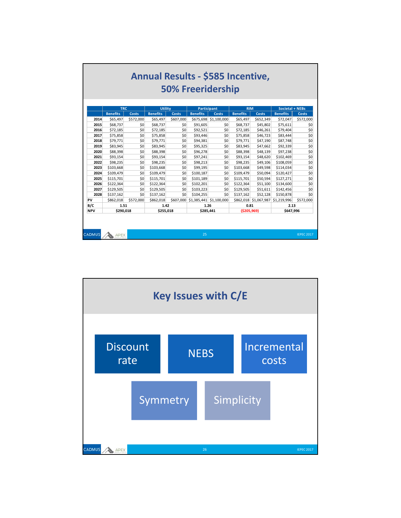|            |                 |           |                 |              |                    | <b>50% Freeridership</b> |                 |                       |                        |              |
|------------|-----------------|-----------|-----------------|--------------|--------------------|--------------------------|-----------------|-----------------------|------------------------|--------------|
|            | <b>TRC</b>      |           | Utility         |              | <b>Participant</b> |                          | <b>RIM</b>      |                       | <b>Societal + NEBs</b> |              |
|            | <b>Benefits</b> | Costs     | <b>Benefits</b> | <b>Costs</b> | <b>Benefits</b>    | <b>Costs</b>             | <b>Benefits</b> | <b>Costs</b>          | <b>Benefits</b>        | <b>Costs</b> |
| 2014       | \$65,497        | \$572,000 | \$65,497        | \$607,000    | \$675,698          | \$1,100,000              | \$65,497        | \$652,349             | \$72,047               | \$572,000    |
| 2015       | \$68,737        | \$0       | \$68,737        | \$0          | \$91,605           | \$0                      | \$68,737        | \$45,802              | \$75,611               | \$0          |
| 2016       | \$72,185        | \$0       | \$72,185        | \$0          | \$92,521           | \$0                      | \$72,185        | \$46,261              | \$79,404               | \$0          |
| 2017       | \$75,858        | \$0       | \$75,858        | \$0          | \$93,446           | \$O                      | \$75,858        | \$46,723              | \$83,444               | \$0          |
| 2018       | \$79,771        | \$0       | \$79,771        | \$0          | \$94,381           | \$0                      | \$79,771        | \$47.190              | \$87,748               | \$0          |
| 2019       | \$83,945        | \$0       | \$83,945        | \$0          | \$95,325           | \$0                      | \$83,945        | \$47,662              | \$92,339               | \$0          |
| 2020       | \$88,398        | \$0       | \$88,398        | \$0          | \$96,278           | \$0                      | \$88,398        | \$48,139              | \$97,238               | \$0          |
| 2021       | \$93,154        | \$0       | \$93,154        | \$0          | \$97,241           | \$0                      | \$93,154        | \$48,620              | \$102,469              | \$0          |
| 2022       | \$98,235        | \$0       | \$98,235        | \$0          | \$98,213           | \$0                      | \$98,235        | \$49,106              | \$108,059              | \$0          |
| 2023       | \$103,668       | \$0       | \$103,668       | \$0          | \$99,195           | \$0                      | \$103.668       | \$49,598              | \$114,034              | \$0          |
| 2024       | \$109,479       | \$0       | \$109,479       | \$0          | \$100,187          | \$0                      | \$109.479       | \$50,094              | \$120,427              | \$0          |
| 2025       | \$115,701       | \$0       | \$115,701       | \$0          | \$101,189          | \$0                      | \$115,701       | \$50,594              | \$127,271              | \$0          |
| 2026       | \$122,364       | \$0       | \$122,364       | \$0          | \$102,201          | \$0                      | \$122,364       | \$51,100              | \$134,600              | \$0          |
| 2027       | \$129,505       | \$0       | \$129,505       | \$0          | \$103,223          | \$0                      | \$129,505       | \$51,611              | \$142,456              | \$0          |
| 2028       | \$137,162       | \$0       | \$137,162       | \$0          | \$104,255          | \$0                      | \$137,162       | \$52,128              | \$150,878              | \$0          |
| PV         | \$862,018       | \$572.000 | \$862,018       | \$607,000    |                    | \$1,385,441 \$1,100,000  |                 | \$862,018 \$1,067,987 | \$1,219,996            | \$572.000    |
| B/C        | 1.51            |           | 1.42            |              | 1.26               |                          | 0.81            |                       | 2.13                   |              |
| <b>NPV</b> | \$290,018       |           | \$255,018       |              | \$285,441          |                          | ( \$205, 969)   |                       | \$647,996              |              |

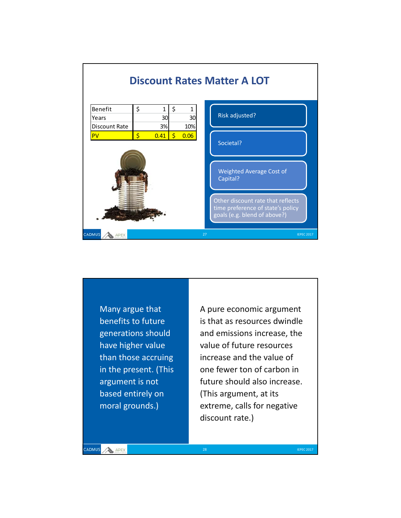

Many argue that benefits to future generations should have higher value than those accruing in the present. (This argument is not based entirely on moral grounds.)

A pure economic argument is that as resources dwindle and emissions increase, the value of future resources increase and the value of one fewer ton of carbon in future should also increase. (This argument, at its extreme, calls for negative discount rate.)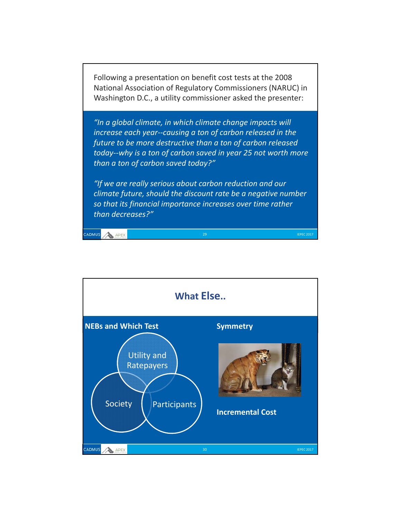Following a presentation on benefit cost tests at the 2008 National Association of Regulatory Commissioners (NARUC) in Washington D.C., a utility commissioner asked the presenter:

*"In a global climate, in which climate change impacts will increase each year‐‐causing a ton of carbon released in the future to be more destructive than a ton of carbon released today‐‐why is a ton of carbon saved in year 25 not worth more than a ton of carbon saved today?"*

*"If we are really serious about carbon reduction and our climate future, should the discount rate be a negative number so that its financial importance increases over time rather than decreases?"* 

ADMUS APEX

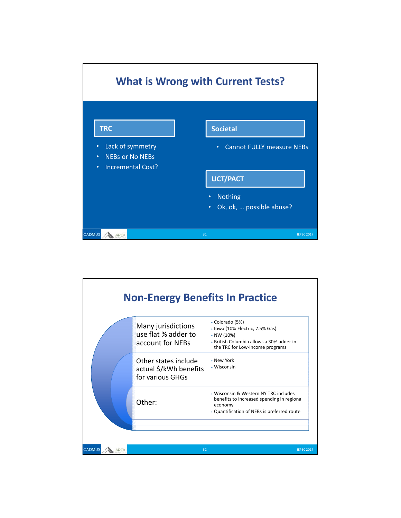

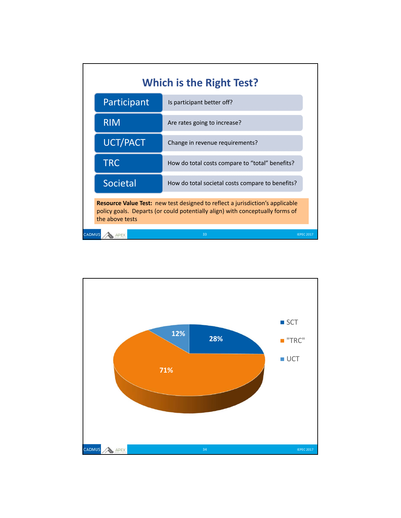| <b>Which is the Right Test?</b>                                                                                                                                                          |                                                  |                   |  |  |  |
|------------------------------------------------------------------------------------------------------------------------------------------------------------------------------------------|--------------------------------------------------|-------------------|--|--|--|
| Participant                                                                                                                                                                              | Is participant better off?                       |                   |  |  |  |
| <b>RIM</b>                                                                                                                                                                               | Are rates going to increase?                     |                   |  |  |  |
| <b>UCT/PACT</b>                                                                                                                                                                          | Change in revenue requirements?                  |                   |  |  |  |
| <b>TRC</b>                                                                                                                                                                               | How do total costs compare to "total" benefits?  |                   |  |  |  |
| Societal                                                                                                                                                                                 | How do total societal costs compare to benefits? |                   |  |  |  |
| <b>Resource Value Test:</b> new test designed to reflect a jurisdiction's applicable<br>policy goals. Departs (or could potentially align) with conceptually forms of<br>the above tests |                                                  |                   |  |  |  |
| <b>CADMUS</b>                                                                                                                                                                            | 33                                               | <b>IFPFC 2017</b> |  |  |  |

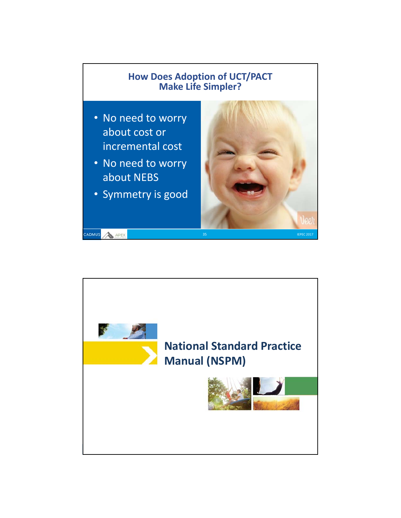

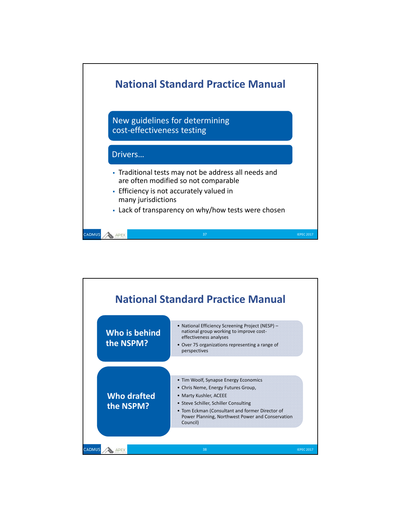

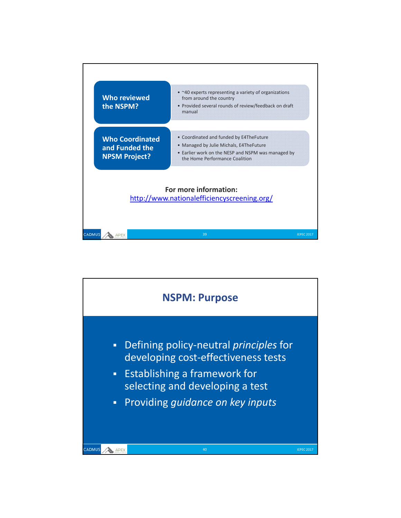

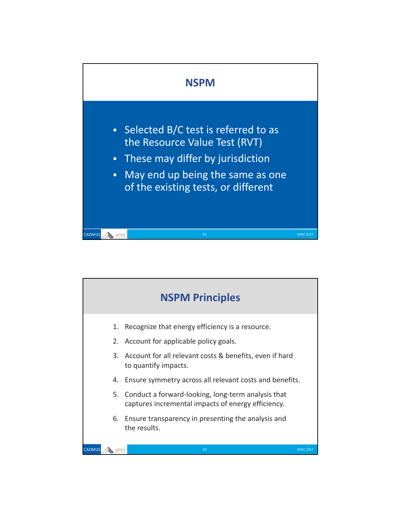

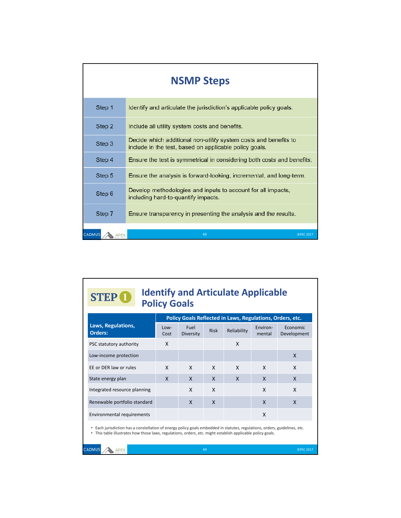|        | <b>NSMP Steps</b>                                                                                                          |  |  |  |  |  |  |  |
|--------|----------------------------------------------------------------------------------------------------------------------------|--|--|--|--|--|--|--|
| Step 1 | Identify and articulate the jurisdiction's applicable policy goals.                                                        |  |  |  |  |  |  |  |
| Step 2 | Include all utility system costs and benefits.                                                                             |  |  |  |  |  |  |  |
| Step 3 | Decide which additional non-utility system costs and benefits to<br>include in the test, based on applicable policy goals. |  |  |  |  |  |  |  |
| Step 4 | Ensure the test is symmetrical in considering both costs and benefits.                                                     |  |  |  |  |  |  |  |
| Step 5 | Ensure the analysis is forward-looking, incremental, and long-term.                                                        |  |  |  |  |  |  |  |
| Step 6 | Develop methodologies and inputs to account for all impacts,<br>including hard-to-quantify impacts.                        |  |  |  |  |  |  |  |
| Step 7 | Ensure transparency in presenting the analysis and the results.                                                            |  |  |  |  |  |  |  |
| CADMUS | 43<br><b>IEPEC 2017</b>                                                                                                    |  |  |  |  |  |  |  |

| <b>Policy Goals</b><br>Policy Goals Reflected in Laws, Regulations, Orders, etc.                                                                                                                                                          |              |                   |             |              |                    |                         |
|-------------------------------------------------------------------------------------------------------------------------------------------------------------------------------------------------------------------------------------------|--------------|-------------------|-------------|--------------|--------------------|-------------------------|
| Laws, Regulations,<br><b>Orders:</b>                                                                                                                                                                                                      | Low-<br>Cost | Fuel<br>Diversity | <b>Risk</b> | Reliability  | Environ-<br>mental | Economic<br>Development |
| PSC statutory authority                                                                                                                                                                                                                   | X            |                   |             | X            |                    |                         |
| Low-income protection                                                                                                                                                                                                                     |              |                   |             |              |                    | X                       |
| EE or DER law or rules                                                                                                                                                                                                                    | X            | X                 | X           | X            | X                  | X                       |
| State energy plan                                                                                                                                                                                                                         | X            | X                 | X           | $\mathsf{x}$ | X                  | X                       |
| Integrated resource planning                                                                                                                                                                                                              |              | X                 | X           |              | X                  | X                       |
| Renewable portfolio standard                                                                                                                                                                                                              |              | X                 | X           |              | X                  | X                       |
| Environmental requirements                                                                                                                                                                                                                |              |                   |             |              | X                  |                         |
| • Each jurisdiction has a constellation of energy policy goals embedded in statutes, regulations, orders, guidelines, etc.<br>• This table illustrates how those laws, regulations, orders, etc. might establish applicable policy goals. |              |                   |             |              |                    |                         |
| <b>CADMUS</b>                                                                                                                                                                                                                             |              |                   | 44          |              |                    | <b>IEPEC 2017</b>       |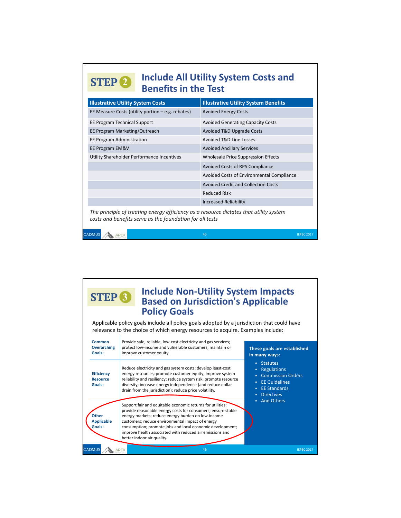# **2** Include All Utility System Costs and **Benefits in the Test**

| <b>Illustrative Utility System Costs</b>                                                                                                           | <b>Illustrative Utility System Benefits</b> |
|----------------------------------------------------------------------------------------------------------------------------------------------------|---------------------------------------------|
| EE Measure Costs (utility portion $-e.g.$ rebates)                                                                                                 | <b>Avoided Energy Costs</b>                 |
| EE Program Technical Support                                                                                                                       | <b>Avoided Generating Capacity Costs</b>    |
| EE Program Marketing/Outreach                                                                                                                      | Avoided T&D Upgrade Costs                   |
| <b>EE Program Administration</b>                                                                                                                   | <b>Avoided T&amp;D Line Losses</b>          |
| EE Program EM&V                                                                                                                                    | <b>Avoided Ancillary Services</b>           |
| Utility Shareholder Performance Incentives                                                                                                         | Wholesale Price Suppression Effects         |
|                                                                                                                                                    | Avoided Costs of RPS Compliance             |
|                                                                                                                                                    | Avoided Costs of Environmental Compliance   |
|                                                                                                                                                    | <b>Avoided Credit and Collection Costs</b>  |
|                                                                                                                                                    | <b>Reduced Risk</b>                         |
|                                                                                                                                                    | <b>Increased Reliability</b>                |
| The principle of treating energy efficiency as a resource dictates that utility system<br>costs and benefits serve as the foundation for all tests |                                             |

### **<sup>3</sup> Include Non‐Utility System Impacts Based on Jurisdiction's Applicable Policy Goals**

CADMUS

**APEX** 

Applicable policy goals include all policy goals adopted by a jurisdiction that could have relevance to the choice of which energy resources to acquire. Examples include:

| Common<br><b>Overarching</b><br>Goals:         | Provide safe, reliable, low-cost electricity and gas services;<br>protect low-income and vulnerable customers; maintain or<br>improve customer equity.                                                                                                                                                                                                                             | These goals are established<br>in many ways:                                                                                                                                 |
|------------------------------------------------|------------------------------------------------------------------------------------------------------------------------------------------------------------------------------------------------------------------------------------------------------------------------------------------------------------------------------------------------------------------------------------|------------------------------------------------------------------------------------------------------------------------------------------------------------------------------|
| <b>Efficiency</b><br><b>Resource</b><br>Goals: | Reduce electricity and gas system costs; develop least-cost<br>energy resources; promote customer equity; improve system<br>reliability and resiliency; reduce system risk; promote resource<br>diversity; increase energy independence (and reduce dollar<br>drain from the jurisdiction); reduce price volatility.<br>Support fair and equitable economic returns for utilities; | <b>Statutes</b><br>п<br>Regulations<br>٠<br><b>Commission Orders</b><br><b>EE</b> Guidelines<br>٠<br><b>EE Standards</b><br>п<br><b>Directives</b><br><b>And Others</b><br>٠ |
| <b>Other</b><br><b>Applicable</b><br>Goals:    | provide reasonable energy costs for consumers; ensure stable<br>energy markets; reduce energy burden on low-income<br>customers; reduce environmental impact of energy<br>consumption; promote jobs and local economic development;<br>improve health associated with reduced air emissions and<br>better indoor air quality.                                                      |                                                                                                                                                                              |
| CADMUS                                         | 46                                                                                                                                                                                                                                                                                                                                                                                 | <b>IEPEC 2017</b>                                                                                                                                                            |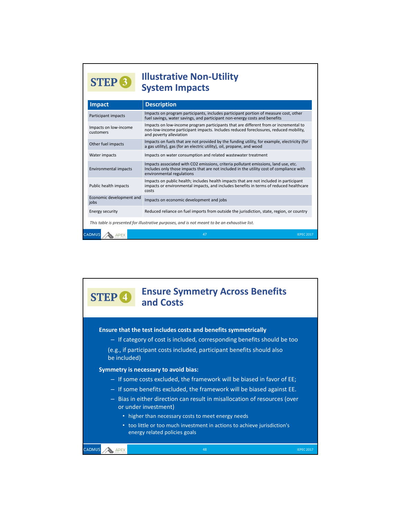#### **<sup>3</sup> Illustrative Non‐Utility System Impacts**

| <b>Impact</b>                                                                                 | <b>Description</b>                                                                                                                                                                                           |  |  |
|-----------------------------------------------------------------------------------------------|--------------------------------------------------------------------------------------------------------------------------------------------------------------------------------------------------------------|--|--|
| Participant impacts                                                                           | Impacts on program participants, includes participant portion of measure cost, other<br>fuel savings, water savings, and participant non-energy costs and benefits                                           |  |  |
| Impacts on low-income<br>customers                                                            | Impacts on low-income program participants that are different from or incremental to<br>non-low-income participant impacts. Includes reduced foreclosures, reduced mobility,<br>and poverty alleviation      |  |  |
| Other fuel impacts                                                                            | Impacts on fuels that are not provided by the funding utility, for example, electricity (for<br>a gas utility), gas (for an electric utility), oil, propane, and wood                                        |  |  |
| Water impacts                                                                                 | Impacts on water consumption and related wastewater treatment                                                                                                                                                |  |  |
| <b>Environmental impacts</b>                                                                  | Impacts associated with CO2 emissions, criteria pollutant emissions, land use, etc.<br>Includes only those impacts that are not included in the utility cost of compliance with<br>environmental regulations |  |  |
| Public health impacts                                                                         | Impacts on public health; includes health impacts that are not included in participant<br>impacts or environmental impacts, and includes benefits in terms of reduced healthcare<br>costs                    |  |  |
| Economic development and<br>iobs                                                              | Impacts on economic development and jobs                                                                                                                                                                     |  |  |
| <b>Energy security</b>                                                                        | Reduced reliance on fuel imports from outside the jurisdiction, state, region, or country                                                                                                                    |  |  |
| This table is presented for illustrative purposes, and is not meant to be an exhaustive list. |                                                                                                                                                                                                              |  |  |
| CADMUS                                                                                        | 47<br><b>IFPFC 2017</b>                                                                                                                                                                                      |  |  |

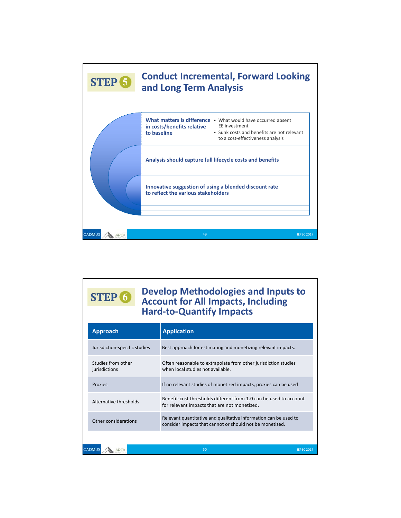

#### **6 Develop Methodologies and Inputs to**<br>Account for All Impacts, Including **Account for All Impacts, Including Hard‐to‐Quantify Impacts**

| <b>Approach</b>                     | <b>Application</b>                                                                                                           |  |
|-------------------------------------|------------------------------------------------------------------------------------------------------------------------------|--|
| Jurisdiction-specific studies       | Best approach for estimating and monetizing relevant impacts.                                                                |  |
| Studies from other<br>jurisdictions | Often reasonable to extrapolate from other jurisdiction studies<br>when local studies not available.                         |  |
| <b>Proxies</b>                      | If no relevant studies of monetized impacts, proxies can be used                                                             |  |
| Alternative thresholds              | Benefit-cost thresholds different from 1.0 can be used to account<br>for relevant impacts that are not monetized.            |  |
| Other considerations                | Relevant quantitative and qualitative information can be used to<br>consider impacts that cannot or should not be monetized. |  |
|                                     |                                                                                                                              |  |
| CADMUS                              | 50                                                                                                                           |  |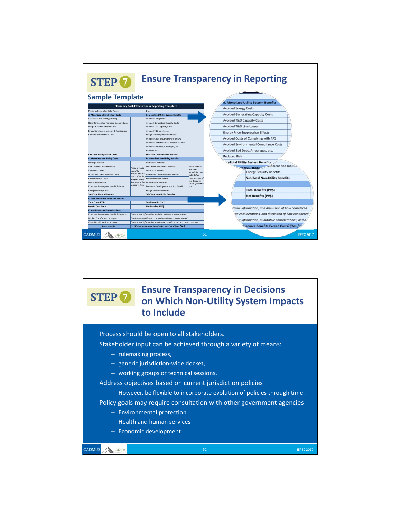